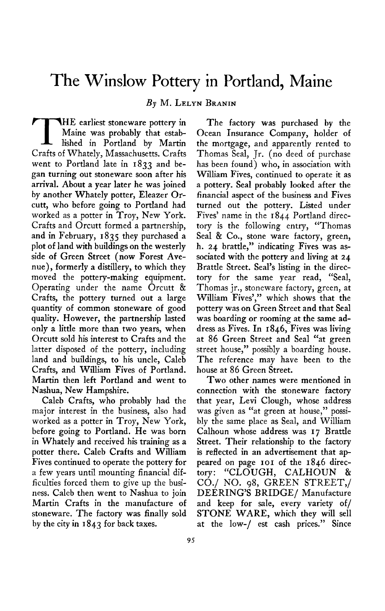## **The Winslow Pottery in Portland, Maine**

**By M. LELYN BRANIN** 

**THE earliest stoneware pottery in Maine was probably that established in Portland by Martin Crafts of Whately, Massachusetts. Crafts went to Portland late in 1833 and began turning out stoneware soon after his arrival. About a year later he was joined by another Whately potter, Eleazer Orcutt, who before going to Portland had worked as a potter in Troy, New York. Crafts and Orcutt formed a partnership, and in February, 1835 they purchased a plot of land with buildings on the westerly side of Green Street (now Forest Avenue), formerly a distillery, to which they moved the pottery-making equipment. Operating under the name Orcutt & Crafts, the pottery turned out a large quantity of common stoneware of good quality. However, the partnership lasted only a little more than two years, when Orcutt sold his interest to Crafts and the latter disposed of the pottery, including land and buildings, to his uncle, Caleb Crafts, and William Fives of Portland. Martin then left Portland and went to Nashua, New Hampshire.** 

**Caleb Crafts, who probably had the major interest in the business, also had worked as a potter in Troy, New York, before going to Portland. He was born in Whately and received his training as a potter there. Caleb Crafts and William Fives continued to operate the pottery for a few years until mounting financial difficulties forced them to give up the business. Caleb then went to Nashua to join Martin Crafts in the manufacture of stoneware. The factory was finally sold by the city in I 843 for back taxes.** 

**The factory was purchased by the Ocean Insurance Company, holder of the mortgage, and apparently rented to Thomas Seal, Jr. (no deed of purchase has been found) who, in association with William Fives, continued to operate it as a pottery. Seal probably looked after the financial aspect of the business and Fives turned out the pottery. Listed under Fives' name in the 1844 Portland directory is the following entry, "Thomas Seal & Co., stone ware factory, green,**  h. 24 brattle," indicating Fives was as**sociated with the pottery and living at 24 Brattle Street. Seal's listing in the directory for the same year read, "Seal, Thomas jr., stoneware factory, green, at William Fives'," which shows that the pottery was on Green Street and that Seal was boarding or rooming at the same address as Fives. In 1846, Fives was living at 86 Green Street and Seal "at green street house," possibly a boarding house. The reference may have been to the house at 86 Green Street.** 

**Two other names were mentioned in connection with the stoneware factory that year, Levi Clough, whose address was given as "at green at house," possibly the same place as Seal, and William Calhoun whose address was 17 Brattle Street. Their relationship to the factory is reflected in an advertisement that ap**peared on page 101 of the 1846 direc**tory : "CLOUGH, CALHOUN & CO./ NO. 98, GREEN STREET,/ DEERING'S BRIDGE/ Manufacture and keep for sale, every variety of/ STONE WARE, which they will sell at the low-/ est cash prices." Since**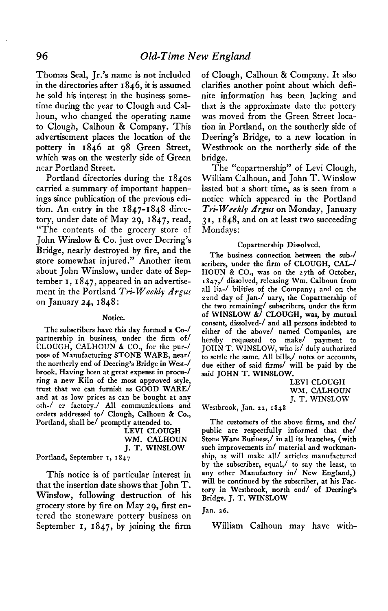**Thomas Seal, Jr.'s name is not included in the directories after I 846, it is assumed he sold his interest in the business sometime during the year to Clough and Calhoun, who changed the operating name to Clough, Calhoun & Company. This advertisement places the location of the pottery in 1846 at 98 Green Street, which was on the westerly side of Green near Portland Street.** 

**Portland directories during the 1840s carried a summary of important happenings since publication of the previous edition. An entry in the 1847-1848 directory, under date of May 29, 1847, read, "The contents of the grocery store of John Winslow & Co. just over Deering's Bridge, nearly destroyed by fire, and the store somewhat injured." Another item about John Winslow, under date of September I, I 847, appeared in an advertise**ment in the Portland *Tri-Weekly Argus* **on January 24, I 848 :** 

## **Notice.**

**The subscribers have this day formed a Co-/ partnership in business, under the firm of/ CLOUGH, CALHOUN & CO., for the pur-/ pose of Manufacturing STONE WARE, near/ the northerly end of Deering's Bridge in West-/ brook. Having been at great expense in procu-/ ring a new Kiln of the most approved style, trust that we can furnish as GOOD WARE/ and at as low prices as can be bought at any oth-/ er factory./ All communications and**  orders addressed to/ Clough, Calhoun & Co., **Portland, shall be/ promptly attended to.** 

| LEVI CLOUGH   |
|---------------|
| WM. CALHOUN   |
| J. T. WINSLOW |

**Portland, September I, I 847** 

**This notice is of particular interest in that the insertion date shows that John T. Winslow, following destruction of his grocery store by fire on May 29, first entered the stoneware pottery business on September I, 1847, by joining the firm** 

**of Clough, Calhoun & Company. It also clarifies another point about which definite information has been lacking and that is the approximate date the pottery was moved from the Green Street location in Portland, on the southerly side of Deering's Bridge, to a new location in Westbrook on the northerly side of the bridge.** 

**The "copartnership" of Levi Clough, William Calhoun, and John T. Winslow lasted but a short time, as is seen from a notice which appeared in the Portland**  Tri-Weekly Argus on Monday, January **3 I, I 848, and on at least two succeeding Mondays:** 

## **Copartnership Dissolved.**

**The business connection between the sub-l scribers, under the firm of CLOUGH, CAL-/ HOUN & CO., was on the 27th of October, I 847,/ dissolved, releasing Wm. Calhoun from all lia-/ bilities of the Company; and on the**  zznd day of Jan-/ uary, the Copartnership of **the two remaining/ subscribers, under the firm of WINSLOW &/ CLOUGH, was, by mutual consent, dissolved-/ and all persons indebted to either of the above/ named Companies, are hereby requested to make/ payment to JOHN T. WINSLOW, who is/ duly authorized to settle the same. All bills,/ notes or accounts, due either of said firms/ will be paid by the said JOHN T. WINSLOW.** 

> **LEVI CLOUGH WM. CALHOUN J. T. WINSLOW**

**Westbrook, Jan. ss, 1848** 

**The customers of the above firms, and the/ public are respectfully informed that the/ Stone Ware Business,/ in all its branches, (with such improvements in/ material and workmanship, as will make all/ articles manufactured by the subscriber, equal,/ to say the least, to any other Manufactory in/ New England,) will be continued by the subscriber, at his Factory in Westbrook, north end/ of Deering's Bridge. J. T. WINSLOW** 

**Jan. 26.** 

**William Calhoun may have with-**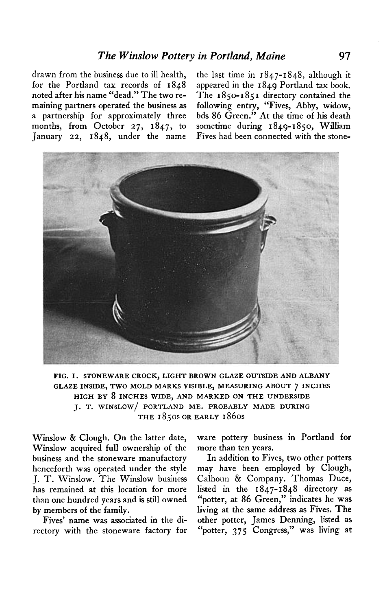**for the Portland tax records of 1848 appeared in the 1849 Portland tax book. noted after his name "dead." The two re- The 1850-185 I directory contained the maining partners operated the business as following entry, "Fives, Abby, widow, a partnership for approximately three bds 86 Green." At the time of his death**  months, from October 27, 1847, to **January 22, 1848, under the name Fives had been connected with the stone-**

**drawn from the business due to ill health, the last time in 1847-1848, although it** 



**FIG. I. STONEWARE CROCK, LIGHT BROWN GLAZE OUTSIDE AND ALBANY GLAZE INSIDE, TWO MOLD MARKS VISIBLE, MEASURING ABOUT 7 INCHES HIGH BY 8 INCHES WIDE, AND MARKED ON THE UNDERSIDE J. T. WINSLOW/ PORTLAND ME. PROBABLY MADE DURING THE 1850s OR EARLY 1860s** 

Winslow & Clough. On the latter date, **Winslow acquired full ownership of the business and the stoneware manufactory henceforth was operated under the style J. T. Winslow. The Winslow business has remained at this location for more than one hundred years and is still owned by members of the family.** 

**Fives' name was associated in the directory with the stoneware factory for**  **ware pottery business in Portland for more than ten years.** 

**In addition to Fives, two other potters may have been employed by Clough, Calhoun & Company. Thomas Duce, listed in the 1847-1848 directory as "potter, at 86 Green," indicates he was living at the Same address as Fives. The other potter, James Denning, listed as "potter, 375 Congress," was living at**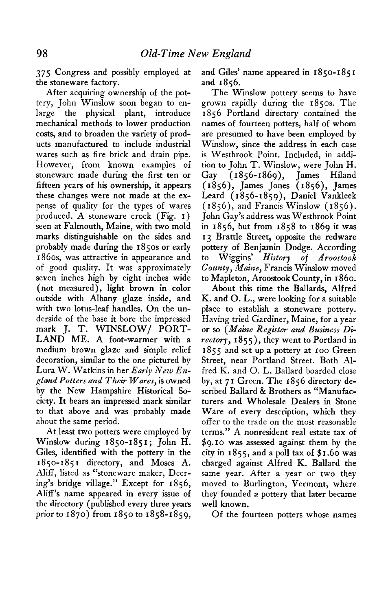**375 Congress and possibly employed at and Giles' name appeared in 1850-185 I the stoneware factory. and 1856.** 

**After acquiring ownership of the pottery, John Winslow soon began to enlarge the physical plant, introduce mechanical methods to lower production costs, and to broaden the variety of products manufactured to include industrial wares such as fire brick and drain pipe. However, from known examples of stoneware made during the first ten or fifteen years of his ownership, it appears these changes were not made at the expense of quality for the types of wares produced. A stoneware crock (Fig. I) seen at Falmouth, Maine, with two mold marks distinguishable on the sides and probably made during the 1850s or early 1860s, was attractive in appearance and of good quality. It was approximately seven inches high by eight inches wide (not measured), light brown in color outside with Albany glaze inside, and with two lotus-leaf handles. On the underside of the base it bore the impressed mark J. T. WINSLOW/ PORT-LAND ME. A foot-warmer with a medium brown glaze and simple relief decoration, similar to the one pictured by Lura W. Watkins in her Early New En**gland Potters and Their Wares, is owned **by the New Hampshire Historical Society. It bears an impressed mark similar to that above and was probably made about the same period.** 

**At least two potters were employed by Winslow during 1850-1851; John H. Giles, identified with the pottery in the 1850-185 I directory, and Moses A. Aliff, listed as "stoneware maker, Deering's bridge village." Except for 1856, Aliff's name appeared in every issue of the directory (published every three years priorto 1870) from 1850 to 1858-1859,** 

**The Winslow pottery seems to have grown rapidly during the 1850s. The I 856 Portland directory contained the names of fourteen potters, half of whom are presumed to have been employed by Winslow, since the address in each case is Westbrook Point. Included, in addition to John T. Winslow, were John H. Gay (1856-1869), James Hiland (1856), James Jones (1856), James Leard (1856-1859), Daniel Vankleek (1856), and Francis Winslow (1856). John Gay's address was Westbrook Point in 1856, but from 1858 to 1869 it was 13 Brattle Street, opposite the redware pottery of Benjamin Dodge. According to Wiggins' History of Aroostook County, Maine, Francis Winslow moved to Mapleton, Aroostook County, in I 860.** 

**About this time the Ballards, Alfred K. and 0. L., were looking for a suitable place to establish a stoneware pottery. Having tried Gardiner, Maine, for a year or so (Maine Register and Business Directory, I 855), they went to Portland in I 85 5 and set up a pottery at I oo Green Street, near Portland Street. Both Alfred K. and 0. L. Ballard boarded close by, at 7 I Green. The I 856 directory described Ballard & Brothers as "Manufacturers and Wholesale Dealers in Stone Ware of every description, which they offer to the trade on the most reasonable terms." A nonresident real estate tax of \$9. I o was assessed against them by the city in 1855, and a poll tax of \$1.60 was charged against Alfred K. Ballard the same year. After a year or two they moved to Burlington, Vermont, where they founded a pottery that later became well known.** 

**Of the fourteen potters whose names**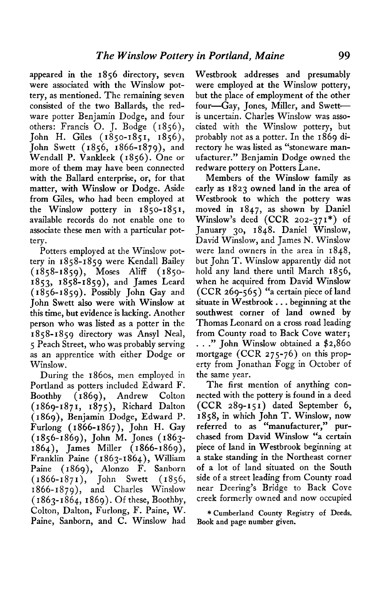**appeared in the 1856 directory, seven were associated with the Winslow pottery, as mentioned. The remaining seven consisted of the two Ballards, the redware potter Benjamin Dodge, and four others: Francis 0. J, Bodge ( I 856), John H. Giles (1850-1851, 1856), John Swett (1856, 1866-1879), and Wendall P. Vankleek (1856). One or more of them may have been connected with the Ballard enterprise, or, for that matter, with Winslow or Dodge. Aside from Giles, who had been employed at the Winslow pottery in 1850-1851, available records do not enable one to associate these men with a particular pottery.** 

**Potters employed at the Winslow pottery in 1858-1859 were Kendall Bailey (1858-1859), Moses Aliff (1850- 1853, 1858-1859), and James Leard (1856-1859). Possibly John Gay and John Swett also were with Winslow at this time, but evidence is lacking. Another person who was listed as a potter in the I 858-1859 directory was Ansyl Neal, 5 Peach Street, who was probably serving as an apprentice with either Dodge or Winslow.** 

**During the 186os, men employed in Portland as potters included Edward F. Boothby ( I 869)) Andrew Colton (1869-1871, 1875), Richard Dalton (1869), Benjamin Dodge, Edward P. Furlong (1866-1867), John H. Gay (1856-1869), John M. Jones (1863- 1864), James Miller (1866-1869), Franklin Paine ( I 863-1864)) William Paine (1869), Alonzo F. Sanborn (1866-1871), John Swett (1856, 1866-1879), and Charles Winslow ( I 863- I 864, I 869). Of these, Boothby, Colton, Dalton, Furlong, F. Paine, W. Paine, Sanborn, and C. Winslow had**  **Westbrook addresses and presumably were employed at the Winslow pottery, but the place of employment of the other four--Gay, Jones, Miller, and Swettis uncertain. Charles Winslow was associated with the Winslow pottery, but probably not as a potter. In the 1869 directory he was listed as "stoneware manufacturer." Benjamin Dodge owned the redware pottery on Potters Lane.** 

**Members of the Winslow family as early as 1823 owned land in the area of Westbrook to which the pottery was moved in 1847, as shown by Daniel Winslow's deed (CCR 202-371\*) of January 30, I 848. Daniel Winslow, David Winslow, and James N. Winslow were land owners in the area in 1848, but John T. Winslow apparently did not hold any land there until March 1856, when he acquired from David Winslow**   $(CCR 269-565)$  "a certain piece of land situate in Westbrook . . . beginning at the **southwest corner of land owned by Thomas Leonard on a cross road leading from County road to Back Cove water; " John Winslow obtained a \$2,860**  mortgage (CCR 275-76) on this prop**erty from Jonathan Fogg in October of the same year.** 

**The first mention of anything connected with the pottery is found in a deed (CCR 289-151) dated September 6, 1858, in which John T. Winslow, now referred to as "manufacturer," purchased from David Winslow "a certain piece of land in Westbrook beginning at a stake standing in the Northeast corner of a lot of land situated on the South side of a street leading from County road near Deering's Bridge to Back Cove creek formerly owned and now occupied** 

**\* Cumberland County Registry of Deeds. Book and page number given.**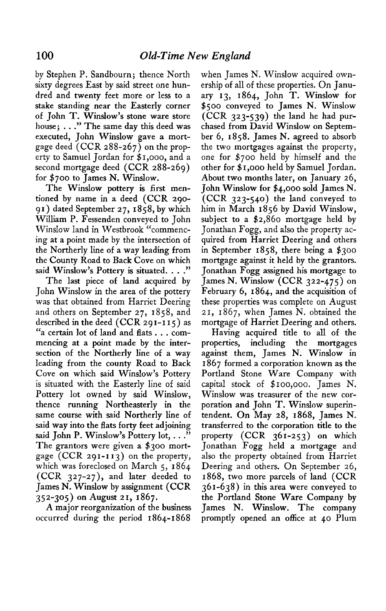**by Stephen P. Sandbourn; thence North sixty degrees East by said street one hundred and twenty feet more or less to a stake standing near the Easterly corner of John T. Winslow's stone ware store house; . . ." The same day this deed was executed, John Winslow gave a mortgage deed (CCR 288-267) on the property to Samuel Jordan for \$1,000, and a second mortgage deed (CCR 288-269) for \$700 to James N. Winslow.** 

**The Winslow pottery is first mentioned by name in a deed (CCR 290- 91) dated September 27, 1858, by which William P. Fessenden conveyed to John Winslow land in Westbrook "commencing at a point made by the intersection of the Northerly line of a way leading from the County Road to Back Cove on which said Winslow's Pottery is situated. . . ."** 

**The last piece of land acquired by John Winslow in the area of the pottery was that obtained from Harriet Deering and others on September 27, 1858, and described in the deed (CCR 291-1 I 5) as "a certain lot of land and flats . . . commencing at a point made by the intersection of the Northerly line of a way leading from the county Road to Back Cove on which said Winslow's Pottery is situated with the Easterly line of said Pottery lot owned by said Winslow, thence running Northeasterly in the same course with said Northerly line of said way into the flats forty feet adjoining said John P. Winslow's Pottery lot, . . ." The grantors were given a \$300 mortgage (CCR 291-113) on the property, which was foreclosed on March 5, 1864 (CCR 327-27 ), and later deeded to James N. Winslow by assignment (CCR 352-305) on August 21, 1867.** 

**A major reorganization of the business occurred during the period 1864-1868** 

**when James N. Winslow acquired ownership of all of these properties. On January 13, 1864, John T. Winslow for \$500 conveyed to James N. Winslow (CCR 323-539) the land he had purchased from David Winslow on September 6, 1858. James N. agreed to absorb the two mortgages against the property, one for \$700 held by himself and the other for \$ I ,000 held by Samuel Jordan. About two months later, on January 26, John Winslow for \$4,000 sold James N. (CCR 323-540) the land conveyed to him in March I 856 by David Winslow, subject to a \$2,860 mortgage held by Jonathan Fogg, and also the property acquired from Harriet Deering and others in September 1858, there being a \$300 mortgage against it held by the grantors. Jonathan Fogg assigned his mortgage to James N. Winslow (CCR 322-475) on February 6, 1864, and the acquisition of these properties was complete on August 21, 1867, when James N. obtained the mortgage of Harriet Deering and others.** 

**Having acquired title to all of the properties, including the mortgages against them, James N. Winslow in I 867 formed a corporation known as the Portland Stone Ware Company with capital stock of \$ IOO,OOO. James N. Winslow was treasurer of the new corporation and John T. Winslow superintendent. On May 28, 1868, James N. transferred to the corporation title to the property (CCR 361-253) on which Jonathan Fogg held a mortgage and also the property obtained from Harriet Deering and others. On September 26, 1868, two more parcels of land (CCR 361-638) in this area were conveyed to the Portland Stone Ware Company by James N. Winslow. The company promptly opened an office at 40 Plum**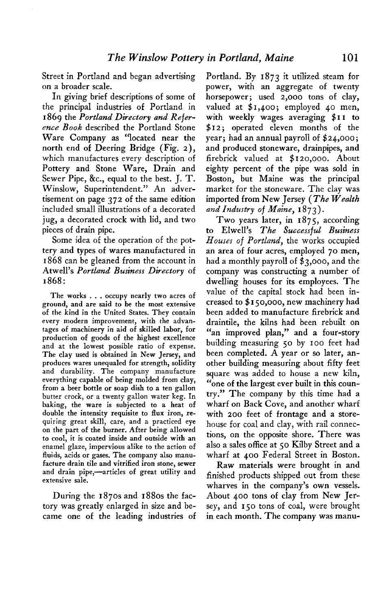**Street in Portland and began advertising on a broader scale.** 

In giving brief descriptions of some of **the principal industries of Portland in 1869 the Portland Directory and Reference Book described the Portland Stone Ware Company as "located near the north end of Deering Bridge (Fig. 2), which manufactures every description of Pottery and Stone Ware, Drain and Sewer Pipe, &c., equal to the best. J. T. Winslow, Superintendent." An advertisement on page 372 of the same edition included small illustrations of a decorated jug, a decorated crock with lid, and two pieces of drain pipe.** 

**Some idea of the operation of the pottery and types of wares manufactured in 1868 can be gleaned from the account in Atwell's Portland Business Directory of 1868:** 

**The works . . . occupy nearly two acres of ground, and are said to be the most extensive of the kind in the United States. They contain every modern improvement, with the advantages of machinery in aid of skilled labor, for production of goods of the highest excellence and at the lowest possible ratio of expense. The clay used is obtained in New Jersey, and produces wares unequaled for strength, solidity and durability. The company manufacture everything capable of being molded from clay, from a beer bottle or soap dish to a ten gallon butter crock, or a twenty gallon water keg. In baking, the ware is subjected to a heat of double the intensity requisite to flux iron, requiring great skill, care, and a practiced eye on the part of the burner. After being allowed to cool, it is coated inside and outside with an enamel glaze, impervious alike to the action of fluids, acids or gases. The company also manufacture drain tile and vitrified iron stone, sewer**  and drain pipe,—articles of great utility and **extensive sale.** 

**During the 1870s and 1880s the factory was greatly enlarged in size and became one of the leading industries of** 

**Portland. By 1873 it utilized steam for power, with an aggregate of twenty horsepower; used 2,000 tons of clay, valued at \$1,400 ; employed 40 men, with weekly wages averaging \$I I to \$12; operated eleven months of the year; had an annual payroll of \$24,000; and produced stoneware, drainpipes, and firebrick valued at \$120,000. About eighty percent of the pipe was sold in Boston, but Maine was the principal market for the stoneware. The clay was imported from New Jersey (The Wealth**  and Industry of Maine, 1873).

**Two years later, in I 875, according to Elwell's The Successful Business Houses of Portland, the works occupied an area of four acres, employed 70 men, had a monthly payroll of \$3,000, and the company was constructing a number of dwelling houses for its employees. The value of the capital stock had been increased to \$ I 50,000, new machinery had been added to manufacture firebrick and draintile, the kilns had been rebuilt on "an improved plan," and a four-story building measuring 50 by 100 feet had been completed. A year or so later, another building measuring about fifty feet square was added to house a new kiln, "one of the largest ever built in this country." The company by this time had a wharf on Back Cove, and another wharf with 200 feet of frontage and a storehouse for coal and clay, with rail connections, on the opposite shore. There was also a sales office at 50 Kilby Street and a wharf at 400 Federal Street in Boston.** 

**Raw materials were brought in and finished products shipped out from these wharves in the company's own vessels. About 400 tons of clay from New Jersey, and ISO tons of coal, were brought in each month. The company was manu-**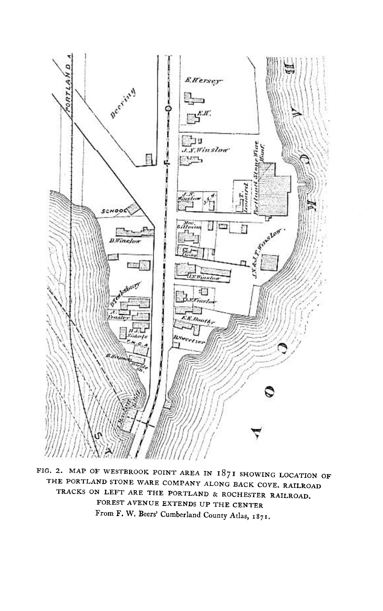

**FIG. 2. MAP OF WESTBROOK POINT AREA IN 1871 SHOWING LOCATION OF THE PORTLAND STONE WARE COMPANY ALONG BACK COVE. RAILROAD TRACKS ON LEFT ARE THE PORTLAND & ROCHESTER RAILROAD. FOREST AVENUE EXTENDS UP THE CENTER From F. W. Beers' Cumberland County Atlas, 1871.**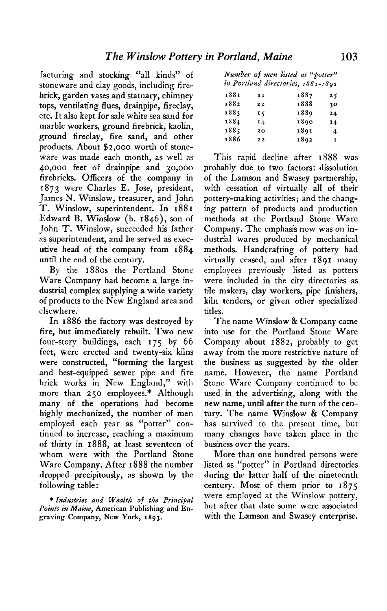**facturing and stocking "all kinds" of stoneware and clay goods, including firebrick, garden vases and statuary, chimney tops, ventilating flues, drainpipe, fireclay, etc. It also kept for sale white sea sand for marble workers, ground firebrick, kaolin, ground fireclay, fire sand, and other products. About \$2,000 worth of stoneware was made each month, as well as 40,000 feet of drainpipe and 30,000 firebricks. Officers of the company in 1873 were Charles E. Jose, president, James N. Winslow, treasurer, and John T. Winslow, superintendent. In 188 I Edward B. Winslow (b. 1846), son of John T. Winslow, succeeded his father as superintendent, and he served as executive head of the company from 1884 until the end of the century.** 

**By the 1880s the Portland Stone Ware Company had become a large industrial complex supplying a wide variety of products to the New England area and elsewhere.** 

**In 1886 the factory was destroyed by fire, but immediately rebuilt. Two new four-story buildings, each 175 by 66 feet, were erected and twenty-six kilns were constructed, "forming the largest and best-equipped sewer pipe and fire brick works in New England," with more than 250 employees.\* Although many of the operations had become highly mechanized, the number of men employed each year as "potter" continued to increase, reaching a maximum of thirty in 1888, at least seventeen of whom were with the Portland Stone Ware Company. After I 888 the number dropped precipitously, as shown by the following table:** 

**\* Industries and Wealth of the Principal Points in Maim, American Publishing and Engraving Company, New York, 1893.** 

|  |  | Number of men listed as "potter"   |
|--|--|------------------------------------|
|  |  | in Portland directories, 1881-1892 |

| 1881 | 11  | 1887 | 25 |
|------|-----|------|----|
| 1882 | 22  | 1888 | 10 |
| 1883 | īς  | 1889 | 24 |
| 1884 | I 4 | 1890 | 14 |
| 1885 | 20  | 1891 | 4  |
| 1886 | 22  | 1892 | 1  |

**This rapid decline after 1888 was probably due to two factors: dissolution of the Lamson and Swasey partnership, with cessation of virtually all of their pottery-making activities; and the changing pattern of products and production methods at the Portland Stone Ware Company. The emphasis now was on industrial wares produced by mechanical methods. Handcrafting of pottery had virtually ceased, and after 1891 many employees previously listed as potters were included in the city directories as tile makers, clay workers, pipe finishers, kiln tenders, or given other specialized titles.** 

**The name Winslow & Company came into use for the Portland Stone Ware Company about 1882, probably to get away from the more restrictive nature of the business as suggested by the older name. However, the name Portland Stone Ware Company continued to be used in the advertising, along with the new name, until after the turn of the century. The name Winslow & Company has survived to the present time, but many changes have taken place in the business over the years.** 

**More than one hundred persons were listed as "potter" in Portland directories during the latter half of the nineteenth century. Most of them prior to 1875 were employed at the Winslow pottery, but after that date some were associated with the Lamson and Swasey enterprise.**